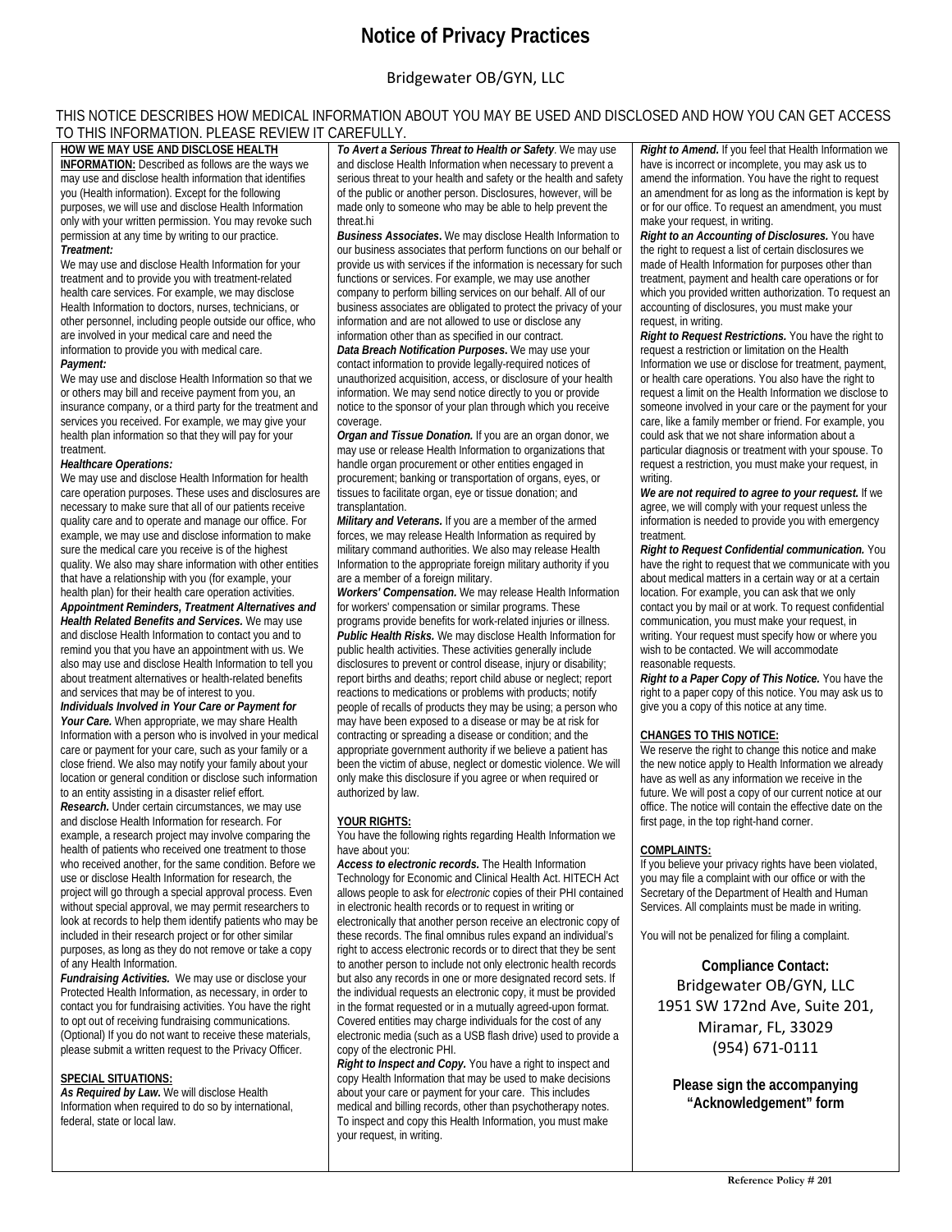## **Notice of Privacy Practices**

### Bridgewater OB/GYN, LLC

#### THIS NOTICE DESCRIBES HOW MEDICAL INFORMATION ABOUT YOU MAY BE USED AND DISCLOSED AND HOW YOU CAN GET ACCESS TO THIS INFORMATION. PLEASE REVIEW IT CAREFULLY.

**HOW WE MAY USE AND DISCLOSE HEALTH INFORMATION:** Described as follows are the ways we may use and disclose health information that identifies you (Health information). Except for the following purposes, we will use and disclose Health Information only with your written permission. You may revoke such permission at any time by writing to our practice. *Treatment:*

We may use and disclose Health Information for your treatment and to provide you with treatment-related health care services. For example, we may disclose Health Information to doctors, nurses, technicians, or other personnel, including people outside our office, who are involved in your medical care and need the information to provide you with medical care. *Payment:*

We may use and disclose Health Information so that we or others may bill and receive payment from you, an insurance company, or a third party for the treatment and services you received. For example, we may give your health plan information so that they will pay for your treatment.

#### *Healthcare Operations:*

We may use and disclose Health Information for health care operation purposes. These uses and disclosures are necessary to make sure that all of our patients receive quality care and to operate and manage our office. For example, we may use and disclose information to make sure the medical care you receive is of the highest quality. We also may share information with other entities that have a relationship with you (for example, your health plan) for their health care operation activities.

*Appointment Reminders, Treatment Alternatives and Health Related Benefits and Services.* We may use and disclose Health Information to contact you and to remind you that you have an appointment with us. We also may use and disclose Health Information to tell you about treatment alternatives or health-related benefits and services that may be of interest to you.

*Individuals Involved in Your Care or Payment for Your Care.* When appropriate, we may share Health Information with a person who is involved in your medical care or payment for your care, such as your family or a close friend. We also may notify your family about your location or general condition or disclose such information to an entity assisting in a disaster relief effort. *Research.* Under certain circumstances, we may use and disclose Health Information for research. For example, a research project may involve comparing the health of patients who received one treatment to those who received another, for the same condition. Before we use or disclose Health Information for research, the project will go through a special approval process. Even without special approval, we may permit researchers to look at records to help them identify patients who may be included in their research project or for other similar purposes, as long as they do not remove or take a copy

of any Health Information. *Fundraising Activities.*We may use or disclose your Protected Health Information, as necessary, in order to contact you for fundraising activities. You have the right to opt out of receiving fundraising communications. (Optional) If you do not want to receive these materials, please submit a written request to the Privacy Officer.

#### **SPECIAL SITUATIONS:**

*As Required by Law***.** We will disclose Health Information when required to do so by international, federal, state or local law.

*To Avert a Serious Threat to Health or Safety*. We may use and disclose Health Information when necessary to prevent a serious threat to your health and safety or the health and safety of the public or another person. Disclosures, however, will be made only to someone who may be able to help prevent the threat.hi

*Business Associates***.** We may disclose Health Information to our business associates that perform functions on our behalf or provide us with services if the information is necessary for such functions or services. For example, we may use another company to perform billing services on our behalf. All of our business associates are obligated to protect the privacy of your information and are not allowed to use or disclose any information other than as specified in our contract.

*Data Breach Notification Purposes***.** We may use your contact information to provide legally-required notices of unauthorized acquisition, access, or disclosure of your health information. We may send notice directly to you or provide notice to the sponsor of your plan through which you receive coverage.

*Organ and Tissue Donation.* If you are an organ donor, we may use or release Health Information to organizations that handle organ procurement or other entities engaged in procurement; banking or transportation of organs, eyes, or tissues to facilitate organ, eye or tissue donation; and transplantation.

*Military and Veterans.* If you are a member of the armed forces, we may release Health Information as required by military command authorities. We also may release Health Information to the appropriate foreign military authority if you are a member of a foreign military.

*Workers' Compensation.* We may release Health Information for workers' compensation or similar programs. These programs provide benefits for work-related injuries or illness. *Public Health Risks.* We may disclose Health Information for public health activities. These activities generally include disclosures to prevent or control disease, injury or disability; report births and deaths; report child abuse or neglect; report reactions to medications or problems with products; notify people of recalls of products they may be using; a person who may have been exposed to a disease or may be at risk for contracting or spreading a disease or condition; and the appropriate government authority if we believe a patient has been the victim of abuse, neglect or domestic violence. We will only make this disclosure if you agree or when required or authorized by law.

#### **YOUR RIGHTS:**

You have the following rights regarding Health Information we have about you:

*Access to electronic records.* The Health Information Technology for Economic and Clinical Health Act. HITECH Act allows people to ask for *electronic* copies of their PHI contained in electronic health records or to request in writing or electronically that another person receive an electronic copy of these records. The final omnibus rules expand an individual's right to access electronic records or to direct that they be sent to another person to include not only electronic health records but also any records in one or more designated record sets. If the individual requests an electronic copy, it must be provided in the format requested or in a mutually agreed-upon format. Covered entities may charge individuals for the cost of any electronic media (such as a USB flash drive) used to provide a copy of the electronic PHI.

*Right to Inspect and Copy.* You have a right to inspect and copy Health Information that may be used to make decisions about your care or payment for your care. This includes medical and billing records, other than psychotherapy notes. To inspect and copy this Health Information, you must make your request, in writing.

*Right to Amend.* If you feel that Health Information we have is incorrect or incomplete, you may ask us to amend the information. You have the right to request an amendment for as long as the information is kept by or for our office. To request an amendment, you must make your request, in writing.

*Right to an Accounting of Disclosures.* You have the right to request a list of certain disclosures we made of Health Information for purposes other than treatment, payment and health care operations or for which you provided written authorization. To request an accounting of disclosures, you must make your request, in writing.

*Right to Request Restrictions.* You have the right to request a restriction or limitation on the Health Information we use or disclose for treatment, payment, or health care operations. You also have the right to request a limit on the Health Information we disclose to someone involved in your care or the payment for your care, like a family member or friend. For example, you could ask that we not share information about a particular diagnosis or treatment with your spouse. To request a restriction, you must make your request, in writing.

*We are not required to agree to your request.* If we agree, we will comply with your request unless the information is needed to provide you with emergency treatment.

*Right to Request Confidential communication.* You have the right to request that we communicate with you about medical matters in a certain way or at a certain location. For example, you can ask that we only contact you by mail or at work. To request confidential communication, you must make your request, in writing. Your request must specify how or where you wish to be contacted. We will accommodate reasonable requests.

*Right to a Paper Copy of This Notice.* You have the right to a paper copy of this notice. You may ask us to give you a copy of this notice at any time.

#### **CHANGES TO THIS NOTICE:**

We reserve the right to change this notice and make the new notice apply to Health Information we already have as well as any information we receive in the future. We will post a copy of our current notice at our office. The notice will contain the effective date on the first page, in the top right-hand corner.

#### **COMPLAINTS:**

If you believe your privacy rights have been violated, you may file a complaint with our office or with the Secretary of the Department of Health and Human Services. All complaints must be made in writing.

You will not be penalized for filing a complaint.

**Compliance Contact:** Bridgewater OB/GYN, LLC 1951 SW 172nd Ave, Suite 201, Miramar, FL, 33029 (954) 671-0111

**Please sign the accompanying "Acknowledgement" form**